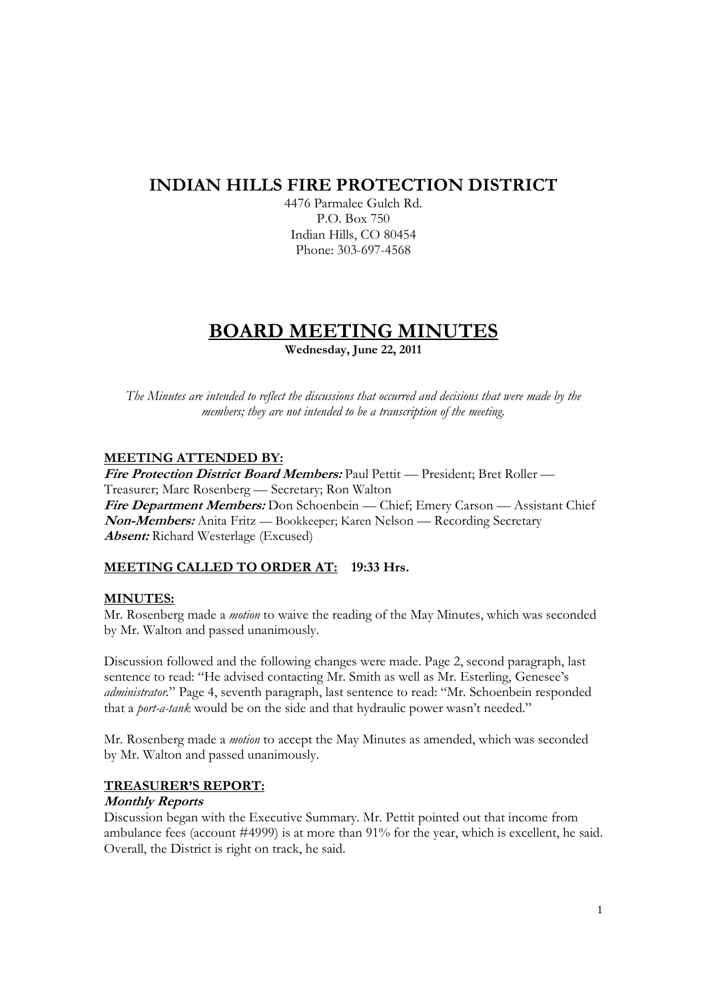# **INDIAN HILLS FIRE PROTECTION DISTRICT**

4476 Parmalee Gulch Rd. P.O. Box 750 Indian Hills, CO 80454 Phone: 303-697-4568

# **BOARD MEETING MINUTES**

**Wednesday, June 22, 2011** 

*The Minutes are intended to reflect the discussions that occurred and decisions that were made by the members; they are not intended to be a transcription of the meeting.* 

# **MEETING ATTENDED BY:**

**Fire Protection District Board Members:** Paul Pettit — President; Bret Roller — Treasurer; Marc Rosenberg — Secretary; Ron Walton **Fire Department Members:** Don Schoenbein — Chief; Emery Carson — Assistant Chief **Non-Members:** Anita Fritz — Bookkeeper; Karen Nelson — Recording Secretary **Absent:** Richard Westerlage (Excused)

# **MEETING CALLED TO ORDER AT: 19:33 Hrs.**

# **MINUTES:**

Mr. Rosenberg made a *motion* to waive the reading of the May Minutes, which was seconded by Mr. Walton and passed unanimously.

Discussion followed and the following changes were made. Page 2, second paragraph, last sentence to read: "He advised contacting Mr. Smith as well as Mr. Esterling, Genesee's *administrator.*" Page 4, seventh paragraph, last sentence to read: "Mr. Schoenbein responded that a *port-a-tank* would be on the side and that hydraulic power wasn't needed."

Mr. Rosenberg made a *motion* to accept the May Minutes as amended, which was seconded by Mr. Walton and passed unanimously.

# **TREASURER'S REPORT:**

## **Monthly Reports**

Discussion began with the Executive Summary. Mr. Pettit pointed out that income from ambulance fees (account #4999) is at more than 91% for the year, which is excellent, he said. Overall, the District is right on track, he said.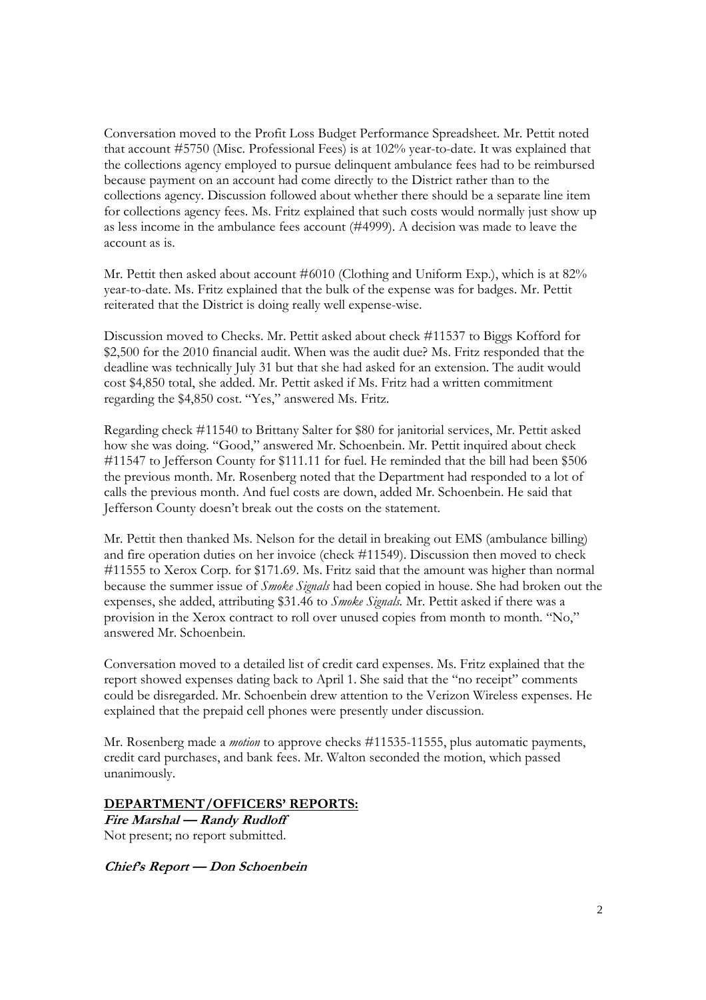Conversation moved to the Profit Loss Budget Performance Spreadsheet. Mr. Pettit noted that account #5750 (Misc. Professional Fees) is at 102% year-to-date. It was explained that the collections agency employed to pursue delinquent ambulance fees had to be reimbursed because payment on an account had come directly to the District rather than to the collections agency. Discussion followed about whether there should be a separate line item for collections agency fees. Ms. Fritz explained that such costs would normally just show up as less income in the ambulance fees account (#4999). A decision was made to leave the account as is.

Mr. Pettit then asked about account #6010 (Clothing and Uniform Exp.), which is at 82% year-to-date. Ms. Fritz explained that the bulk of the expense was for badges. Mr. Pettit reiterated that the District is doing really well expense-wise.

Discussion moved to Checks. Mr. Pettit asked about check #11537 to Biggs Kofford for \$2,500 for the 2010 financial audit. When was the audit due? Ms. Fritz responded that the deadline was technically July 31 but that she had asked for an extension. The audit would cost \$4,850 total, she added. Mr. Pettit asked if Ms. Fritz had a written commitment regarding the \$4,850 cost. "Yes," answered Ms. Fritz.

Regarding check #11540 to Brittany Salter for \$80 for janitorial services, Mr. Pettit asked how she was doing. "Good," answered Mr. Schoenbein. Mr. Pettit inquired about check #11547 to Jefferson County for \$111.11 for fuel. He reminded that the bill had been \$506 the previous month. Mr. Rosenberg noted that the Department had responded to a lot of calls the previous month. And fuel costs are down, added Mr. Schoenbein. He said that Jefferson County doesn't break out the costs on the statement.

Mr. Pettit then thanked Ms. Nelson for the detail in breaking out EMS (ambulance billing) and fire operation duties on her invoice (check #11549). Discussion then moved to check #11555 to Xerox Corp. for \$171.69. Ms. Fritz said that the amount was higher than normal because the summer issue of *Smoke Signals* had been copied in house. She had broken out the expenses, she added, attributing \$31.46 to *Smoke Signals.* Mr. Pettit asked if there was a provision in the Xerox contract to roll over unused copies from month to month. "No," answered Mr. Schoenbein.

Conversation moved to a detailed list of credit card expenses. Ms. Fritz explained that the report showed expenses dating back to April 1. She said that the "no receipt" comments could be disregarded. Mr. Schoenbein drew attention to the Verizon Wireless expenses. He explained that the prepaid cell phones were presently under discussion.

Mr. Rosenberg made a *motion* to approve checks #11535-11555, plus automatic payments, credit card purchases, and bank fees. Mr. Walton seconded the motion, which passed unanimously.

## **DEPARTMENT/OFFICERS' REPORTS:**

**Fire Marshal — Randy Rudloff**  Not present; no report submitted.

**Chief's Report — Don Schoenbein**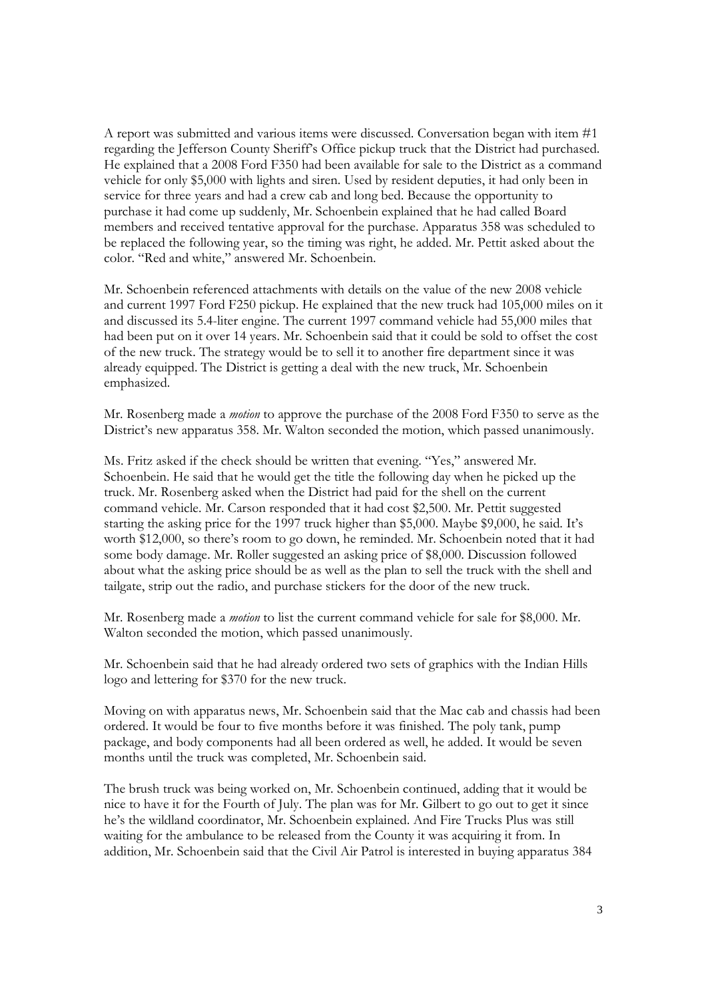A report was submitted and various items were discussed. Conversation began with item #1 regarding the Jefferson County Sheriff's Office pickup truck that the District had purchased. He explained that a 2008 Ford F350 had been available for sale to the District as a command vehicle for only \$5,000 with lights and siren. Used by resident deputies, it had only been in service for three years and had a crew cab and long bed. Because the opportunity to purchase it had come up suddenly, Mr. Schoenbein explained that he had called Board members and received tentative approval for the purchase. Apparatus 358 was scheduled to be replaced the following year, so the timing was right, he added. Mr. Pettit asked about the color. "Red and white," answered Mr. Schoenbein.

Mr. Schoenbein referenced attachments with details on the value of the new 2008 vehicle and current 1997 Ford F250 pickup. He explained that the new truck had 105,000 miles on it and discussed its 5.4-liter engine. The current 1997 command vehicle had 55,000 miles that had been put on it over 14 years. Mr. Schoenbein said that it could be sold to offset the cost of the new truck. The strategy would be to sell it to another fire department since it was already equipped. The District is getting a deal with the new truck, Mr. Schoenbein emphasized.

Mr. Rosenberg made a *motion* to approve the purchase of the 2008 Ford F350 to serve as the District's new apparatus 358. Mr. Walton seconded the motion, which passed unanimously.

Ms. Fritz asked if the check should be written that evening. "Yes," answered Mr. Schoenbein. He said that he would get the title the following day when he picked up the truck. Mr. Rosenberg asked when the District had paid for the shell on the current command vehicle. Mr. Carson responded that it had cost \$2,500. Mr. Pettit suggested starting the asking price for the 1997 truck higher than \$5,000. Maybe \$9,000, he said. It's worth \$12,000, so there's room to go down, he reminded. Mr. Schoenbein noted that it had some body damage. Mr. Roller suggested an asking price of \$8,000. Discussion followed about what the asking price should be as well as the plan to sell the truck with the shell and tailgate, strip out the radio, and purchase stickers for the door of the new truck.

Mr. Rosenberg made a *motion* to list the current command vehicle for sale for \$8,000. Mr. Walton seconded the motion, which passed unanimously.

Mr. Schoenbein said that he had already ordered two sets of graphics with the Indian Hills logo and lettering for \$370 for the new truck.

Moving on with apparatus news, Mr. Schoenbein said that the Mac cab and chassis had been ordered. It would be four to five months before it was finished. The poly tank, pump package, and body components had all been ordered as well, he added. It would be seven months until the truck was completed, Mr. Schoenbein said.

The brush truck was being worked on, Mr. Schoenbein continued, adding that it would be nice to have it for the Fourth of July. The plan was for Mr. Gilbert to go out to get it since he's the wildland coordinator, Mr. Schoenbein explained. And Fire Trucks Plus was still waiting for the ambulance to be released from the County it was acquiring it from. In addition, Mr. Schoenbein said that the Civil Air Patrol is interested in buying apparatus 384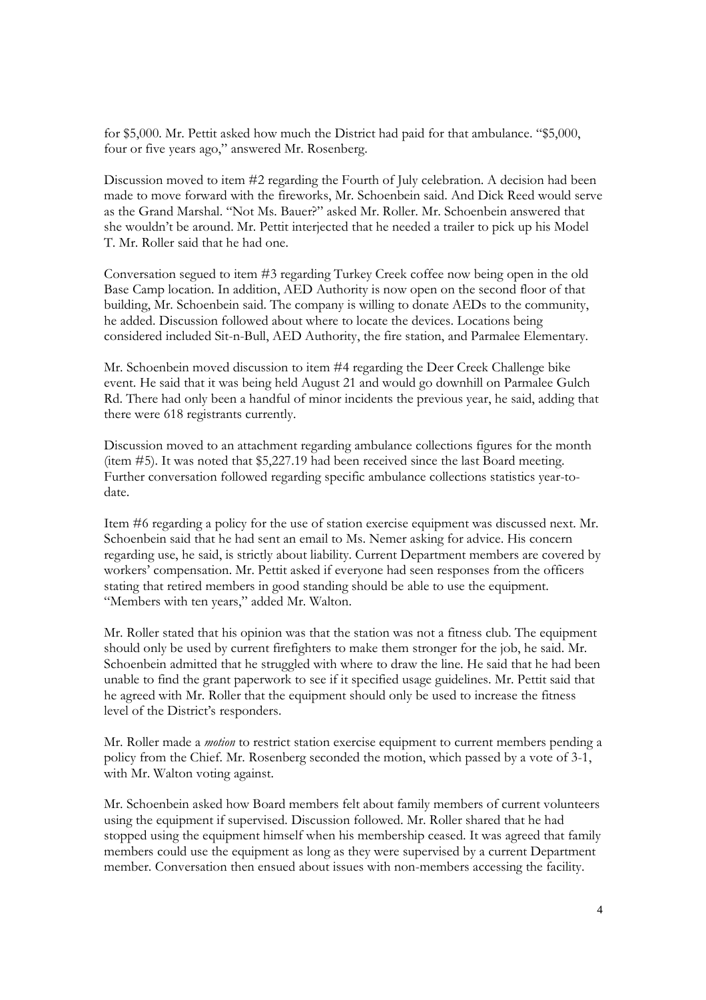for \$5,000. Mr. Pettit asked how much the District had paid for that ambulance. "\$5,000, four or five years ago," answered Mr. Rosenberg.

Discussion moved to item #2 regarding the Fourth of July celebration. A decision had been made to move forward with the fireworks, Mr. Schoenbein said. And Dick Reed would serve as the Grand Marshal. "Not Ms. Bauer?" asked Mr. Roller. Mr. Schoenbein answered that she wouldn't be around. Mr. Pettit interjected that he needed a trailer to pick up his Model T. Mr. Roller said that he had one.

Conversation segued to item #3 regarding Turkey Creek coffee now being open in the old Base Camp location. In addition, AED Authority is now open on the second floor of that building, Mr. Schoenbein said. The company is willing to donate AEDs to the community, he added. Discussion followed about where to locate the devices. Locations being considered included Sit-n-Bull, AED Authority, the fire station, and Parmalee Elementary.

Mr. Schoenbein moved discussion to item #4 regarding the Deer Creek Challenge bike event. He said that it was being held August 21 and would go downhill on Parmalee Gulch Rd. There had only been a handful of minor incidents the previous year, he said, adding that there were 618 registrants currently.

Discussion moved to an attachment regarding ambulance collections figures for the month (item #5). It was noted that \$5,227.19 had been received since the last Board meeting. Further conversation followed regarding specific ambulance collections statistics year-todate.

Item #6 regarding a policy for the use of station exercise equipment was discussed next. Mr. Schoenbein said that he had sent an email to Ms. Nemer asking for advice. His concern regarding use, he said, is strictly about liability. Current Department members are covered by workers' compensation. Mr. Pettit asked if everyone had seen responses from the officers stating that retired members in good standing should be able to use the equipment. "Members with ten years," added Mr. Walton.

Mr. Roller stated that his opinion was that the station was not a fitness club. The equipment should only be used by current firefighters to make them stronger for the job, he said. Mr. Schoenbein admitted that he struggled with where to draw the line. He said that he had been unable to find the grant paperwork to see if it specified usage guidelines. Mr. Pettit said that he agreed with Mr. Roller that the equipment should only be used to increase the fitness level of the District's responders.

Mr. Roller made a *motion* to restrict station exercise equipment to current members pending a policy from the Chief. Mr. Rosenberg seconded the motion, which passed by a vote of 3-1, with Mr. Walton voting against.

Mr. Schoenbein asked how Board members felt about family members of current volunteers using the equipment if supervised. Discussion followed. Mr. Roller shared that he had stopped using the equipment himself when his membership ceased. It was agreed that family members could use the equipment as long as they were supervised by a current Department member. Conversation then ensued about issues with non-members accessing the facility.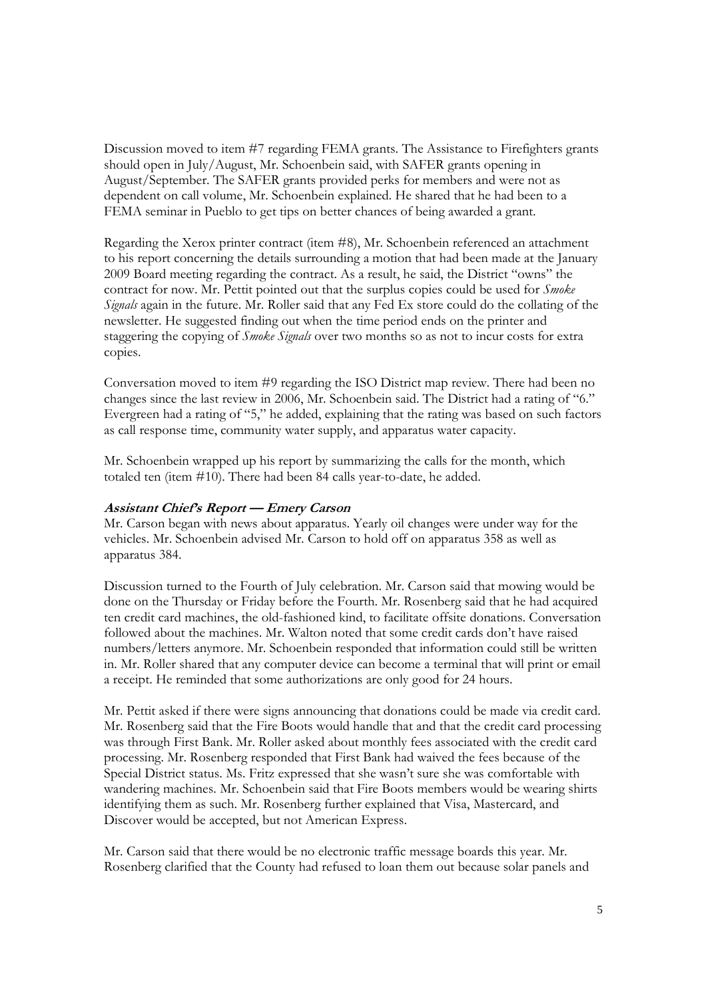Discussion moved to item #7 regarding FEMA grants. The Assistance to Firefighters grants should open in July/August, Mr. Schoenbein said, with SAFER grants opening in August/September. The SAFER grants provided perks for members and were not as dependent on call volume, Mr. Schoenbein explained. He shared that he had been to a FEMA seminar in Pueblo to get tips on better chances of being awarded a grant.

Regarding the Xerox printer contract (item #8), Mr. Schoenbein referenced an attachment to his report concerning the details surrounding a motion that had been made at the January 2009 Board meeting regarding the contract. As a result, he said, the District "owns" the contract for now. Mr. Pettit pointed out that the surplus copies could be used for *Smoke Signals* again in the future. Mr. Roller said that any Fed Ex store could do the collating of the newsletter. He suggested finding out when the time period ends on the printer and staggering the copying of *Smoke Signals* over two months so as not to incur costs for extra copies.

Conversation moved to item #9 regarding the ISO District map review. There had been no changes since the last review in 2006, Mr. Schoenbein said. The District had a rating of "6." Evergreen had a rating of "5," he added, explaining that the rating was based on such factors as call response time, community water supply, and apparatus water capacity.

Mr. Schoenbein wrapped up his report by summarizing the calls for the month, which totaled ten (item #10). There had been 84 calls year-to-date, he added.

## **Assistant Chief's Report — Emery Carson**

Mr. Carson began with news about apparatus. Yearly oil changes were under way for the vehicles. Mr. Schoenbein advised Mr. Carson to hold off on apparatus 358 as well as apparatus 384.

Discussion turned to the Fourth of July celebration. Mr. Carson said that mowing would be done on the Thursday or Friday before the Fourth. Mr. Rosenberg said that he had acquired ten credit card machines, the old-fashioned kind, to facilitate offsite donations. Conversation followed about the machines. Mr. Walton noted that some credit cards don't have raised numbers/letters anymore. Mr. Schoenbein responded that information could still be written in. Mr. Roller shared that any computer device can become a terminal that will print or email a receipt. He reminded that some authorizations are only good for 24 hours.

Mr. Pettit asked if there were signs announcing that donations could be made via credit card. Mr. Rosenberg said that the Fire Boots would handle that and that the credit card processing was through First Bank. Mr. Roller asked about monthly fees associated with the credit card processing. Mr. Rosenberg responded that First Bank had waived the fees because of the Special District status. Ms. Fritz expressed that she wasn't sure she was comfortable with wandering machines. Mr. Schoenbein said that Fire Boots members would be wearing shirts identifying them as such. Mr. Rosenberg further explained that Visa, Mastercard, and Discover would be accepted, but not American Express.

Mr. Carson said that there would be no electronic traffic message boards this year. Mr. Rosenberg clarified that the County had refused to loan them out because solar panels and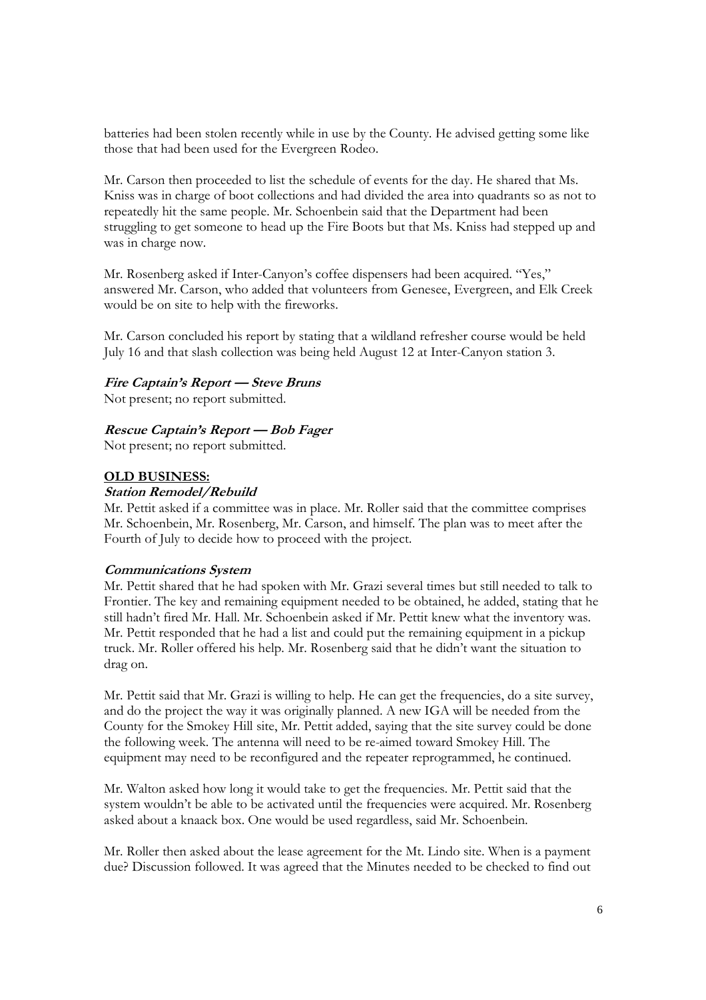batteries had been stolen recently while in use by the County. He advised getting some like those that had been used for the Evergreen Rodeo.

Mr. Carson then proceeded to list the schedule of events for the day. He shared that Ms. Kniss was in charge of boot collections and had divided the area into quadrants so as not to repeatedly hit the same people. Mr. Schoenbein said that the Department had been struggling to get someone to head up the Fire Boots but that Ms. Kniss had stepped up and was in charge now.

Mr. Rosenberg asked if Inter-Canyon's coffee dispensers had been acquired. "Yes," answered Mr. Carson, who added that volunteers from Genesee, Evergreen, and Elk Creek would be on site to help with the fireworks.

Mr. Carson concluded his report by stating that a wildland refresher course would be held July 16 and that slash collection was being held August 12 at Inter-Canyon station 3.

## **Fire Captain's Report — Steve Bruns**

Not present; no report submitted.

#### **Rescue Captain's Report — Bob Fager**

Not present; no report submitted.

#### **OLD BUSINESS:**

## **Station Remodel/Rebuild**

Mr. Pettit asked if a committee was in place. Mr. Roller said that the committee comprises Mr. Schoenbein, Mr. Rosenberg, Mr. Carson, and himself. The plan was to meet after the Fourth of July to decide how to proceed with the project.

#### **Communications System**

Mr. Pettit shared that he had spoken with Mr. Grazi several times but still needed to talk to Frontier. The key and remaining equipment needed to be obtained, he added, stating that he still hadn't fired Mr. Hall. Mr. Schoenbein asked if Mr. Pettit knew what the inventory was. Mr. Pettit responded that he had a list and could put the remaining equipment in a pickup truck. Mr. Roller offered his help. Mr. Rosenberg said that he didn't want the situation to drag on.

Mr. Pettit said that Mr. Grazi is willing to help. He can get the frequencies, do a site survey, and do the project the way it was originally planned. A new IGA will be needed from the County for the Smokey Hill site, Mr. Pettit added, saying that the site survey could be done the following week. The antenna will need to be re-aimed toward Smokey Hill. The equipment may need to be reconfigured and the repeater reprogrammed, he continued.

Mr. Walton asked how long it would take to get the frequencies. Mr. Pettit said that the system wouldn't be able to be activated until the frequencies were acquired. Mr. Rosenberg asked about a knaack box. One would be used regardless, said Mr. Schoenbein.

Mr. Roller then asked about the lease agreement for the Mt. Lindo site. When is a payment due? Discussion followed. It was agreed that the Minutes needed to be checked to find out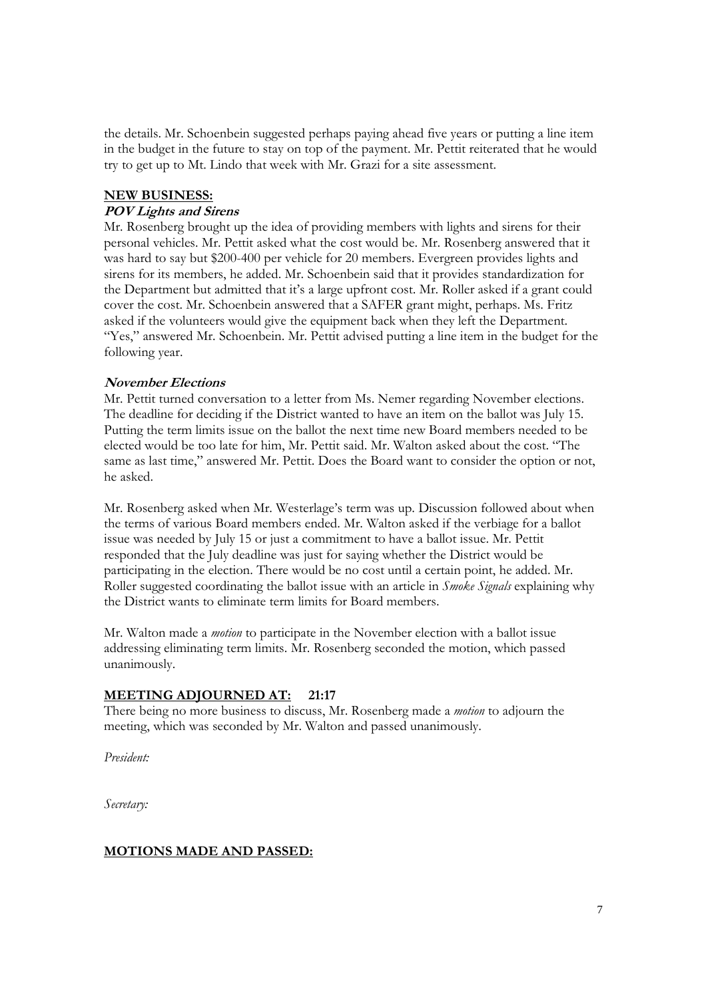the details. Mr. Schoenbein suggested perhaps paying ahead five years or putting a line item in the budget in the future to stay on top of the payment. Mr. Pettit reiterated that he would try to get up to Mt. Lindo that week with Mr. Grazi for a site assessment.

## **NEW BUSINESS:**

## **POV Lights and Sirens**

Mr. Rosenberg brought up the idea of providing members with lights and sirens for their personal vehicles. Mr. Pettit asked what the cost would be. Mr. Rosenberg answered that it was hard to say but \$200-400 per vehicle for 20 members. Evergreen provides lights and sirens for its members, he added. Mr. Schoenbein said that it provides standardization for the Department but admitted that it's a large upfront cost. Mr. Roller asked if a grant could cover the cost. Mr. Schoenbein answered that a SAFER grant might, perhaps. Ms. Fritz asked if the volunteers would give the equipment back when they left the Department. "Yes," answered Mr. Schoenbein. Mr. Pettit advised putting a line item in the budget for the following year.

## **November Elections**

Mr. Pettit turned conversation to a letter from Ms. Nemer regarding November elections. The deadline for deciding if the District wanted to have an item on the ballot was July 15. Putting the term limits issue on the ballot the next time new Board members needed to be elected would be too late for him, Mr. Pettit said. Mr. Walton asked about the cost. "The same as last time," answered Mr. Pettit. Does the Board want to consider the option or not, he asked.

Mr. Rosenberg asked when Mr. Westerlage's term was up. Discussion followed about when the terms of various Board members ended. Mr. Walton asked if the verbiage for a ballot issue was needed by July 15 or just a commitment to have a ballot issue. Mr. Pettit responded that the July deadline was just for saying whether the District would be participating in the election. There would be no cost until a certain point, he added. Mr. Roller suggested coordinating the ballot issue with an article in *Smoke Signals* explaining why the District wants to eliminate term limits for Board members.

Mr. Walton made a *motion* to participate in the November election with a ballot issue addressing eliminating term limits. Mr. Rosenberg seconded the motion, which passed unanimously.

# **MEETING ADJOURNED AT: 21:17**

There being no more business to discuss, Mr. Rosenberg made a *motion* to adjourn the meeting, which was seconded by Mr. Walton and passed unanimously.

*President:* 

*Secretary:* 

# **MOTIONS MADE AND PASSED:**